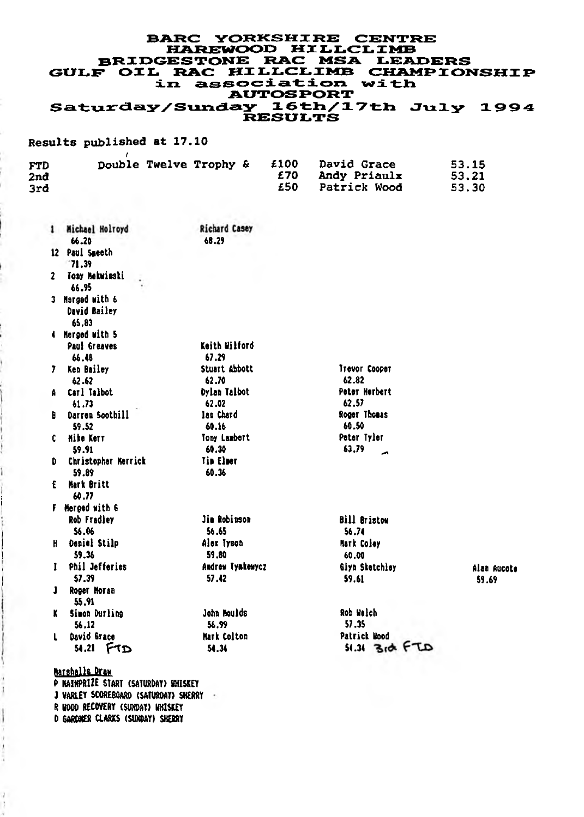# **BARC YORKSHIRE CENTRE** *H A R E V t O G Z y* **M I L L C L I M B** BRIDGESTONE RAC MSA LEADERS<br>*GULF* OIL RAC HILLCLIMB CHAMPIONSHIP **dLzx a s s o c=dL a t d. o n w i t i b AUTOSRORT** Saturday/Sunday 16th/17th July 1994<br>RESULTS

#### **Results published at 17.10** *f*

| <b>FTD</b><br>2nd<br>3rd |  | Double Twelve Trophy & | £100<br>£70<br>£50. | <b>David Grace</b><br>Andy Priaulx<br>Patrick Wood | 53.15<br>53.21<br>53.30 |
|--------------------------|--|------------------------|---------------------|----------------------------------------------------|-------------------------|
|                          |  |                        |                     |                                                    |                         |

|    | 1 Michael Holroyd<br>66.20               | <b>Richard Casey</b><br>68.29 |                         |             |
|----|------------------------------------------|-------------------------------|-------------------------|-------------|
|    | 12 Paul Smeeth<br>$-71.39$               |                               |                         |             |
| 2  | Toay Mekwinski<br>66.95                  |                               |                         |             |
|    | 3 Margad with 6<br>David Bailey<br>65.83 |                               |                         |             |
|    | 4 Merged with 5                          |                               |                         |             |
|    | <b>Paul Greaves</b>                      | Keith Wilford                 |                         |             |
|    | 66.48                                    | 67.29                         |                         |             |
| 7. | Kep Bailey                               | Stuart Abbott                 | Trevor Cooper           |             |
|    | 62.62                                    | 62.70                         | 62.82                   |             |
| ۸  | Carl Talbot                              | <b>Dylan Talbot</b>           | Peter Herbert           |             |
|    | 61.73                                    | 62.02                         | 62.57                   |             |
| R  | Darren Soothill                          | lan Chard                     | Roger Thomas            |             |
|    | 59.52                                    | 60.16                         | 60.50<br>Peter Tyler    |             |
| c. | <b>Mike Kerr</b><br>59.91                | Tony Lambert<br>60.30         | 63.79                   |             |
| D  | Christopher Merrick                      | <b>Tim Elmer</b>              | Ā                       |             |
|    | 59.89                                    | 60.36                         |                         |             |
| £  | <b>Mark Britt</b>                        |                               |                         |             |
|    | 60.77                                    |                               |                         |             |
|    | F Merged with 6                          |                               |                         |             |
|    | Rob Fradley                              | Jim Robinson                  | <b>Bill Bristow</b>     |             |
|    | 56.06                                    | 56.65                         | 56.74                   |             |
| H  | Daniel Stilp                             | Alex Tyson                    | <b>Mark Coley</b>       |             |
|    | 59.36                                    | 59.80                         | 60.00                   |             |
| 1  | <b>Phil Jefferies</b>                    | Andrew lynkewycz              | Giyn Sketchley          | Alaa Aucote |
|    | 57.39                                    | 57.12                         | 59.61                   | 59.69       |
| J  | Roger Moran                              |                               |                         |             |
|    | 55.91                                    |                               |                         |             |
| ĸ  | Simon Durling                            | John Boulds                   | Rob Walch               |             |
|    | 56.12                                    | 56.99                         | 57.35                   |             |
| L  | David Grace                              | Mark Colton                   | Patrick Mood            |             |
|    | $54.21$ $FTD$                            | 54.34                         | $31.34$ $310$ $6 + 720$ |             |
|    | Marshalls Draw                           |                               |                         |             |
|    |                                          |                               |                         |             |

P HAINPRIZE START (SATURDAY) WHISKEY *J* VARLEY SCOREBOARD (SATURDAY) SHERRY R WOOD RECOVERY (SURDAY) UHISKEY D GARDNER CLARXS (SUNDAY) SHERRY

ï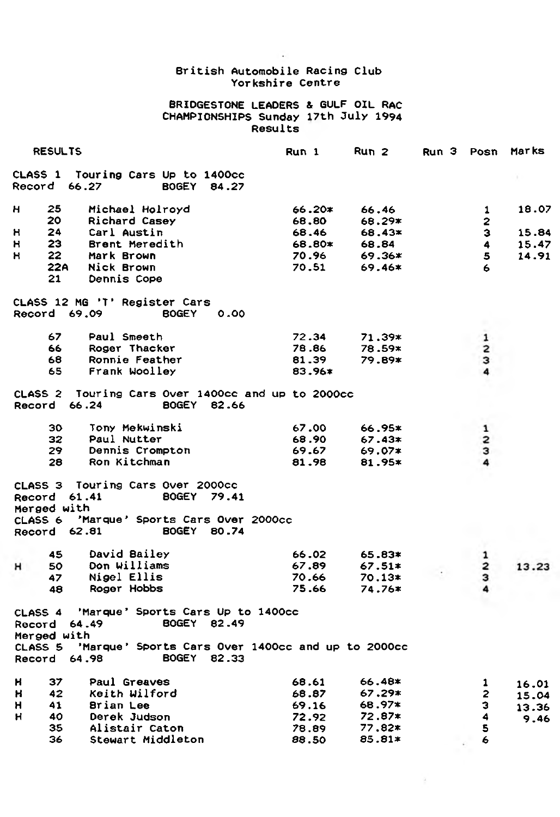### ÷. **British Automobile Racing Club Yorkshire Centre**

#### **BRIDGESTONE LEADERS & GULF OIL RAC CHAMPIONSHIPS Sunday 17th 3uly 1994 Results**

| <b>RESULTS</b> |                                             |                                                                                                                             | Run 1    | Run 2    |  | Run 3<br>Posn           |       |
|----------------|---------------------------------------------|-----------------------------------------------------------------------------------------------------------------------------|----------|----------|--|-------------------------|-------|
|                | Record 66.27                                | CLASS 1 Touring Cars Up to 1400cc<br><b>BOGEY</b><br>84.27                                                                  |          |          |  |                         |       |
| н              | 25                                          | Michael Holroyd                                                                                                             | 66.20≭   | 66.46    |  | 1                       | 18.07 |
|                | 20                                          | Richard Casey                                                                                                               | 68.80    | 68.29*   |  | 2                       |       |
| н              | 24                                          | Carl Austin                                                                                                                 | 68.46    | 68.43*   |  | з                       | 15.84 |
| н              | 23.                                         | Brent Meredith                                                                                                              | 68.80≭   | 68.84    |  | 4                       | 15.47 |
| н              | 22                                          | Mark Brown                                                                                                                  | 70.96    | $69.36*$ |  | 5                       | 14.91 |
|                | 22A                                         | Nick Brown                                                                                                                  | 70.51    | $69.46*$ |  | 6                       |       |
|                | 21                                          | Dennis Cope                                                                                                                 |          |          |  |                         |       |
| Record         |                                             | CLASS 12 MG 'T' Register Cars<br>69.09<br><b>BOGEY</b><br>0.00                                                              |          |          |  |                         |       |
|                | 67                                          | Paul Smeeth                                                                                                                 | 72.34    | 71.39*   |  | 1                       |       |
|                | 66                                          | Roger Thacker                                                                                                               | 78.86    | 78.59*   |  | $\overline{2}$          |       |
|                | 68                                          | Ronnie Feather                                                                                                              | 81.39    | 79.89*   |  | з                       |       |
|                | 65                                          | Frank Woolley                                                                                                               | $83.96*$ |          |  | 4                       |       |
|                | Record 66.24                                | CLASS 2 Touring Cars Over 1400cc and up to 2000cc<br><b>BOGEY</b><br>82.66                                                  |          |          |  |                         |       |
|                | 30                                          | Tony Mekwinski                                                                                                              | 67.00    | 66.95*   |  | 1                       |       |
|                | 32                                          | Paul Nutter                                                                                                                 | 68.90    | $67.43*$ |  | 2                       |       |
|                | 29.                                         | Dennis Crompton                                                                                                             | 69.67    | $69.07*$ |  | з                       |       |
|                | 28                                          | Ron Kitchman                                                                                                                | 81.98    | 81.95*   |  | 4                       |       |
|                | Record 61.41<br>Merged with<br>Record 62.81 | CLASS 3 Touring Cars Over 2000cc<br><b>BOGEY 79.41</b><br>CLASS 6 'Marque' Sports Cars Over 2000cc<br><b>BOGEY</b><br>80.74 |          |          |  |                         |       |
|                |                                             |                                                                                                                             |          |          |  |                         |       |
|                | 45                                          | David Bailey                                                                                                                | 66.02    | 65.83*   |  | $\mathbf{1}$            |       |
| н              | 50                                          | Don Williams                                                                                                                | 67.89    | $67.51*$ |  | $\overline{\mathbf{2}}$ | 13.23 |
|                | 47                                          | Nigel Ellis                                                                                                                 | 70.66    | $70.13*$ |  | з                       |       |
|                | 48                                          | Roger Hobbs                                                                                                                 | 75.66    | $74.76*$ |  | 4                       |       |
|                | Record 64.49<br>Merged with<br>CLASS 5      | CLASS 4 'Marque' Sports Cars Up to 1400cc<br>BOGEY 82.49<br>'Marque' Sports Cars Over 1400cc and up to 2000cc               |          |          |  |                         |       |
|                | Record 64.98                                | <b>BOGEY</b><br>82.33                                                                                                       |          |          |  |                         |       |
| н              | 37                                          | Paul Greaves                                                                                                                | 68.61    | 66.48*   |  | 1                       | 16.01 |
| н              | 42                                          | Keith Wilford                                                                                                               | 68.87    | $67.29*$ |  | 2                       | 15.04 |
| н              | 41                                          | Brian Lee                                                                                                                   | 69.16    | 68.97*   |  | з                       | 13.36 |
| н              | 40                                          | Derek Judson                                                                                                                | 72.92    | 72.87*   |  | 4                       | 9.46  |
|                | 35                                          | Alistair Caton                                                                                                              | 78.89    | $77.82*$ |  | 5                       |       |
|                | 36                                          | Stewart Middleton                                                                                                           | 88.50    | 85.81*   |  | 6                       |       |

 $\alpha$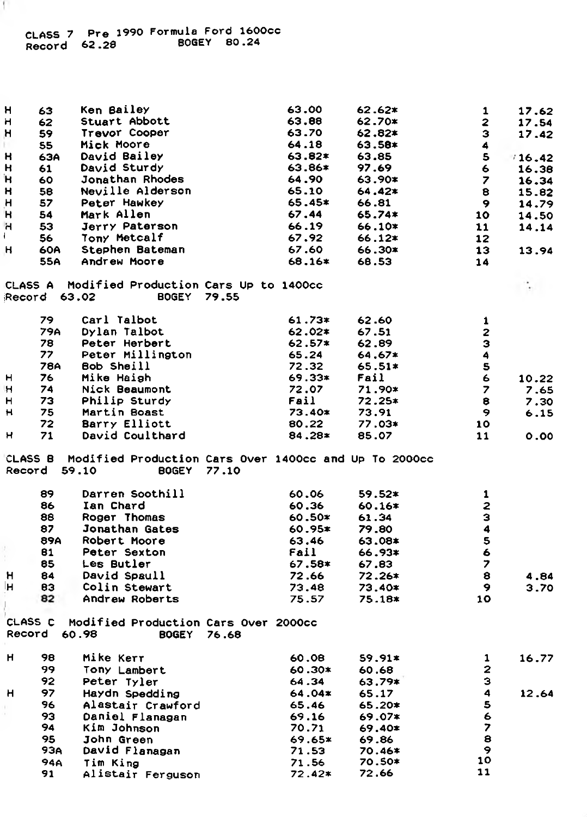| н       | 63           | Ken Bailey                                            |       | 63.00    | $62.62*$ | 1                        | 17.62   |
|---------|--------------|-------------------------------------------------------|-------|----------|----------|--------------------------|---------|
| н       | 62           | Stuart Abbott                                         |       | 63.88    | 62.70*   | 2                        | 17.54   |
| н       | 59           | Travor Cooper                                         |       | 63.70    | 62.82*   | з                        | 17.42   |
|         | 55           | Mick Moore                                            |       | 64.18    | 63.58*   | 4                        |         |
| н       | 63A          | David Bailey                                          |       | 63.82*   | 63.85    | 5                        | * 16.42 |
| н       | 61           | David Sturdy                                          |       | 63.86*   | 97.69    | 6                        |         |
|         |              |                                                       |       |          |          |                          | 16.38   |
| Ή       | 60           | Jonathan Rhodes                                       |       | 64.90    | 63.90*   | $\overline{\phantom{a}}$ | 16.34   |
| н       | 58           | <b>Neville Alderson</b>                               |       | 65.10    | 64.42*   | 8                        | 15.82   |
| н       | 57           | Peter Hawkey                                          |       | 65.45*   | 66.81    | $\mathbf{9}$             | 14.79   |
| н       | 54           | Mark Allen                                            |       | 67.44    | 65.74*   | 10                       | 14.50   |
| н       | 53           | Jerry Paterson                                        |       | 66.19    | 66.10*   | 11                       | 14.14   |
| Ł       | 56           | <b>Tony Metcalf</b>                                   |       | 67.92    | 66.12*   | 12                       |         |
| н       | 60A          | Stephen Bateman                                       |       | 67.60    | 66.30*   | 13                       | 13.94   |
|         | 55A          | Andrew Moore                                          |       | 68.16*   | 68.53    | 14                       |         |
| CLASS A |              | Modified Production Cars Up to 1400cc                 |       |          |          |                          |         |
|         | Record 63.02 | BOGEY 79.55                                           |       |          |          |                          |         |
|         | 79           | Carl Talbot                                           |       | $61.73*$ | 62.60    | 1                        |         |
|         | 79A          | Dylan Talbot                                          |       | 62.02*   | 67.51    | $\mathbf{z}$             |         |
|         | 78           | Peter Herbert                                         |       | $62.57*$ | 62.89    | з                        |         |
|         | 77           | Peter Millington                                      |       | 65.24    | 64.67*   | 4                        |         |
|         | 78A          | Bob Sheill                                            |       | 72.32    | $65.51*$ | $\mathbf{s}$             |         |
| н       | 76           | Mike Haigh                                            |       | 69.33*   | Fail     | 6                        | 10.22   |
| н       | 74           | Nick Beaumont                                         |       | 72.07    | 71.90*   | $\overline{\phantom{a}}$ | 7.65    |
| н       | 73           | Philip Sturdy                                         |       | Fail     | $72.25*$ | 8                        | 7.30    |
| н       | 75           | Martin Boast                                          |       | 73.40*   | 73.91    | 9                        | 6.15    |
|         | 72           | Barry Elliott                                         |       | 80.22    |          | 10                       |         |
|         |              |                                                       |       |          | 77.03*   |                          |         |
| н       | 71           | David Coulthard                                       |       | 84.28*   | 85.07    | 11                       | 0.00    |
| CLASS B |              | Modified Production Cars Over 1400cc and Up To 2000cc |       |          |          |                          |         |
| Record  |              | 59.10<br>BOGEY 77.10                                  |       |          |          |                          |         |
|         | 89           | Darren Soothill                                       |       | 60.06    | 59.52*   | 1                        |         |
|         | 86           | Ian Chard                                             |       | 60.36    | 60.16*   | $\overline{\mathbf{z}}$  |         |
|         | 88           | <b>Roger Thomas</b>                                   |       | 60.50*   | 61.34    | з                        |         |
|         | 87           | Jonathan Gates                                        |       | $60.95*$ | 79.80    | $\ddot{\bf{4}}$          |         |
|         | 89A          | Robert Moore                                          |       | 63.46    | 63.08*   | 5                        |         |
|         | 81           | Peter Sexton                                          |       | Fail     |          | 6                        |         |
|         |              |                                                       |       |          | 66.93*   |                          |         |
|         | 85           | <b>Les Butler</b>                                     |       | 67.58*   | 67.83    | 7                        |         |
| н       | 84           | David Spaull                                          |       | 72.66    | 72.26*   | 8                        | 4.84    |
| н       | 83           | Colin Stewart                                         |       | 73.48    | 73.40*   | 9                        | 3.70    |
|         | 82           | Andrew Roberts                                        |       | 75.57    | 75.18*   | 10                       |         |
| CLASS C |              | Modified Production Cars Over 2000cc                  |       |          |          |                          |         |
| Record  |              | 60.98<br><b>BOGEY</b>                                 | 76.68 |          |          |                          |         |
| н       | 98           | Mike Kerr                                             |       | 60.08    | $59.91*$ | 1                        | 16.77   |
|         | 99           | Tony Lambert                                          |       | $60.30*$ | 60.68    | 2                        |         |
|         | 92           | Peter Tyler                                           |       | 64.34    | 63.79*   | з                        |         |
| н       | 97           | Haydn Spedding                                        |       | 64.04*   | 65.17    | 4                        | 12.64   |
|         | 96           |                                                       |       |          |          | 5                        |         |
|         | 93           | Alastair Crawford                                     |       | 65.46    | 65.20*   | 6                        |         |
|         |              | Daniel Flanagan                                       |       | 69.16    | 69.07*   |                          |         |
|         | 94           | Kim Johnson                                           |       | 70.71    | 69.40*   | $\overline{\mathbf{z}}$  |         |
|         | 95           | John Green                                            |       | 69.65*   | 69.86    | 8                        |         |
|         | 93A          | David Flanagan                                        |       | 71.53    | 70.46*   | 9                        |         |
|         | <b>94A</b>   | Tim King                                              |       | 71.56    | 70.50*   | 10                       |         |
|         | 91           | Alistair Ferguson                                     |       | $72.42*$ | 72.66    | 11                       |         |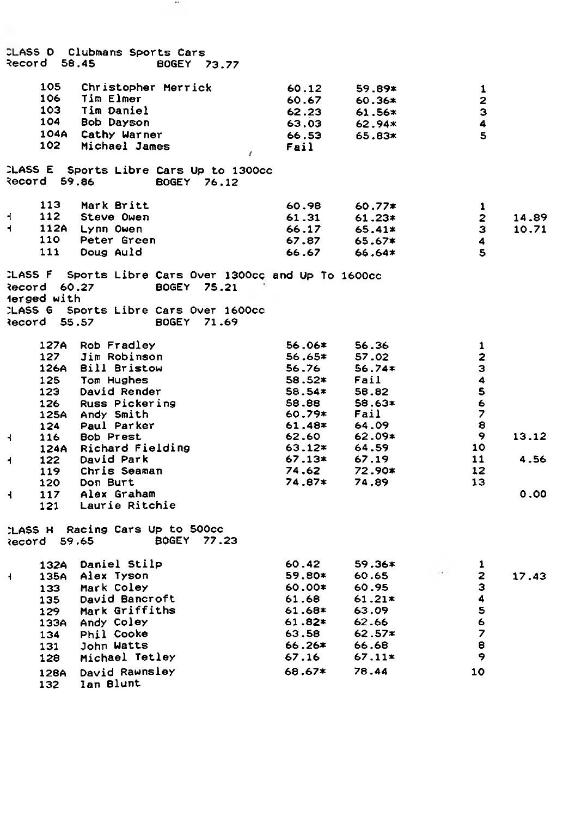|                         | Record 58,45                                      | CLASS D Clubmans Sports Cars                                                                                                                                | <b>BOGEY 73.77</b>                                                                                                           |                                                                                    |                                                                                           |                                                                                          |                |
|-------------------------|---------------------------------------------------|-------------------------------------------------------------------------------------------------------------------------------------------------------------|------------------------------------------------------------------------------------------------------------------------------|------------------------------------------------------------------------------------|-------------------------------------------------------------------------------------------|------------------------------------------------------------------------------------------|----------------|
|                         | 105<br>106<br>103<br>104                          | Christopher Merrick<br><b>Tim Elmer</b><br><b>Tim Daniel</b><br>Bob Dayson<br>104A Cathy Warner                                                             |                                                                                                                              | 60.12<br>60.67<br>62.23<br>63.03<br>66.53                                          | 59.89*<br>$60.36*$<br>$61.56*$<br>$62.94*$<br>65.83*                                      | 1<br>$\mathbf{z}$<br>з<br>4<br>5                                                         |                |
|                         | 102 -                                             | Michael James                                                                                                                                               | $\epsilon$                                                                                                                   | Fail                                                                               |                                                                                           |                                                                                          |                |
|                         | <b>Record 59.86</b>                               |                                                                                                                                                             | CLASS E Sports Libre Cars Up to 1300cc<br>BOGEY 76.12                                                                        |                                                                                    |                                                                                           |                                                                                          |                |
| 4<br>4                  | 113<br>112<br>110<br>111                          | Mark Britt<br>Steve Owen<br>112A Lynn Owen<br>Peter Green<br>Doug Auld                                                                                      |                                                                                                                              | 60.98<br>61.31<br>66.17<br>67.87<br>66.67                                          | $60.77*$<br>$61.23*$<br>65.41*<br>$65.67*$<br>66.64*                                      | 1<br>$\mathbf{2}$<br>з<br>4<br>$\mathbf{5}$                                              | 14.89<br>10.71 |
|                         | <b>Record 60.27</b><br>erged with<br>Record 55.57 |                                                                                                                                                             | CLASS F Sports Libre Cars Over 1300cc and Up To 1600cc<br>BOGEY 75.21<br>LASS G Sports Libre Cars Over 1600cc<br>BOGEY 71.69 |                                                                                    |                                                                                           |                                                                                          |                |
|                         | 127                                               | 127A Rob Fradley<br>Jim Robinson<br>126A Bill Bristow<br>125 Tom Hughes<br>123 David Render<br>126 Russ Pickering<br>125A Andy Smith<br>124 Paul Parker     |                                                                                                                              | 56.06*<br>56.65*<br>56.76<br>58.52*<br>58.54*<br>58.88<br>60.79*<br>61.48*         | 56.36<br>57.02<br>$56.74*$<br>Fail<br>58.82<br>58.63*<br>Fail<br>64.09                    | 1<br>$\overline{\mathbf{z}}$<br>з<br>4<br>5<br>6<br>$\overline{\phantom{a}}$<br>8        |                |
| 4<br>4                  | 122                                               | 116 Bob Prest<br>124A Richard Fielding<br>David Park<br>119 Chris Seaman                                                                                    |                                                                                                                              | 62.60<br>63.12*<br>$67.13*$<br>74.62                                               | 62.09*<br>64.59<br>67.19<br>72.90*                                                        | 9<br>10<br>11<br>$12 \,$                                                                 | 13.12<br>4.56  |
| ÷                       | 120<br>117<br>121                                 | Don Burt<br>Alex Graham<br>Laurie Ritchie                                                                                                                   |                                                                                                                              | 74.87*                                                                             | 74.89                                                                                     | 13                                                                                       | 0.00           |
|                         |                                                   | CLASS H Racing Cars Up to 500cc<br>ecord 59.65                                                                                                              | BOGEY 77.23                                                                                                                  |                                                                                    |                                                                                           |                                                                                          |                |
| $\overline{\mathbf{1}}$ | 133<br>135<br>134<br>131<br>128                   | 132A Daniel Stilp<br>135A Alex Tyson<br>Mark Coley<br>David Bancroft<br>129 Mark Griffiths<br>133A Andy Coley<br>Phil Cooke<br>John Watts<br>Michael Tetley |                                                                                                                              | 60.42<br>59.80*<br>60.00*<br>61.68<br>61.68*<br>61.82*<br>63.58<br>66.26≭<br>67.16 | $59.36*$<br>60.65<br>60.95<br>$61.21*$<br>63.09<br>62.66<br>$62.57*$<br>66.68<br>$67.11*$ | 1<br>$\overline{2}$<br>з<br>4<br>$\mathbf{s}$<br>6<br>$\overline{\phantom{a}}$<br>8<br>9 | 17.43          |
|                         | 128A<br>132                                       | David Rawnsley<br>Ian Blunt                                                                                                                                 |                                                                                                                              | 68.67*                                                                             | 78.44                                                                                     | 10                                                                                       |                |

 $\bullet\circ$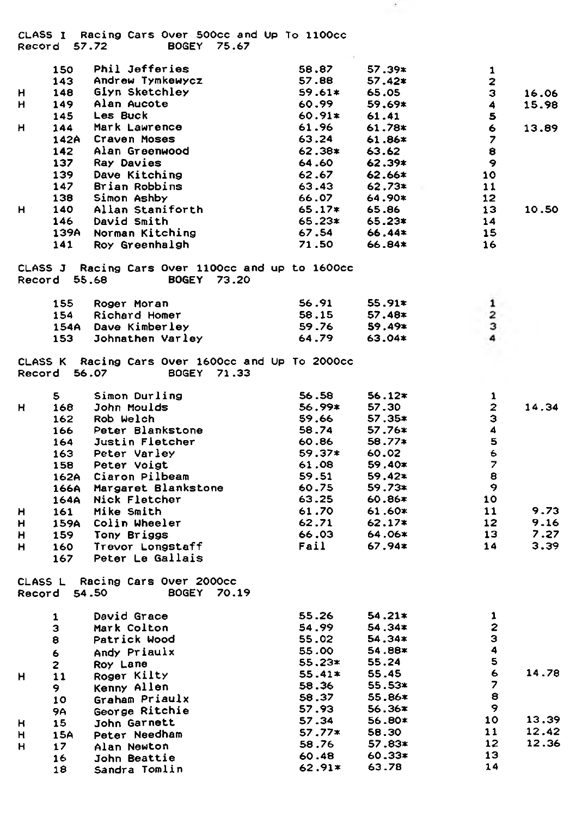**CLASS I Racing Cars Over SOOcc and Up To llOOcc Record 57.72 BOGEY 75.67**

|    | 150          | <b>Phil Jefferies</b>                                                     | 58.87           | $57.39*$         | 1                        |       |
|----|--------------|---------------------------------------------------------------------------|-----------------|------------------|--------------------------|-------|
|    | 143          | Andrew Tymkewycz                                                          | 57.88           | $57.42*$         | $\overline{2}$           |       |
| н  | 148          | Giyn Sketchley                                                            | $59.61*$        | 65.05            | 3                        | 16.06 |
| н  | 149          | Alan Aucote                                                               | 60.99           | 59.69*           | 4                        | 15.98 |
|    | 145          | Les Buck                                                                  | $60.91*$        | 61.41            | 5                        |       |
| H  | 144          | Mark Lawrence                                                             | 61.96           | 61.78*           | 6                        | 13.89 |
|    |              | 142A Craven Moses                                                         | 63.24           | 61.86*           | $\overline{\phantom{a}}$ |       |
|    | 142          | Alan Greenwood                                                            | 62.38*          | 63.62            | 8                        |       |
|    | 137          | Ray Davies                                                                | 64.60           | $62.39*$         | 9                        |       |
|    | 139          | Dave Kitching                                                             | 62.67           | $62.66*$         | 10                       |       |
|    | 147          | Brian Robbins                                                             | 63.43           | $62.73*$         | 11                       |       |
|    | 138          | Simon Ashby                                                               | 66.07           | 64.90*           | $12 \,$                  |       |
| н  | 140          | Allan Staniforth                                                          | 65.17*          | 65.86            | 13                       | 10.50 |
|    | 146          | David Smith                                                               | 65.23*          | 65.23*           | 14                       |       |
|    | 139A         | Norman Kitching                                                           | 67.54           | 66.44*           | 15                       |       |
|    | 141          | Roy Greenhalgh                                                            | 71.50           | 66.84*           | 16                       |       |
|    | Record 55.68 | CLASS J Racing Cars Over 1100cc and up to 1600cc<br><b>BOGEY</b><br>73.20 |                 |                  |                          |       |
|    | 155          | Roger Moran                                                               | 56.91           | $55.91*$         | $\mathbf{1}$             |       |
|    | 154          | Richard Homer                                                             | 58.15           | 57.48*           | $\overline{\mathbf{z}}$  |       |
|    |              | 154A Dave Kimberley                                                       | 59.76           | $59.49*$         | з                        |       |
|    | 153          | Johnathen Varley                                                          | 64.79           | 63.04*           | 4                        |       |
|    | Record 56.07 | CLASS K Racing Cars Over 1600cc and Up To 2000cc<br><b>BOGEY</b><br>71.33 | 56.58           |                  |                          |       |
|    | 5.           | Simon Durling<br>John Moulds                                              | 56.99*          | $56.12*$         | 1<br>$\mathbf{z}$        |       |
| н  | 168          | Rob Welch                                                                 | 59.66           | 57.30            | з                        | 14.34 |
|    | 162          |                                                                           | 58.74           | 57.35*<br>57.76* | 4                        |       |
|    | 166          | Peter Blankstone<br>Justin Fletcher                                       |                 | $58.77*$         | 5                        |       |
|    | 164          |                                                                           | 60.86<br>59.37* | 60.02            | 6                        |       |
|    | 163<br>158   | Peter Varley<br>Peter Voigt                                               | 61.08           | $59.40*$         | $\overline{z}$           |       |
|    |              | 162A Ciaron Pilbeam                                                       | 59.51           | $59.42*$         | 8                        |       |
|    |              | 166A Margaret Blankstone                                                  | 60.75           | 59.73*           | 9                        |       |
|    |              | 164A Nick Fletcher                                                        | 63.25           | $60.86*$         | 10                       |       |
| н  | 161          | Mike Smith                                                                | 61.70           | $61.60*$         | 11                       | 9.73  |
| н  |              | 159A Colin Wheeler                                                        | 62.71           | $62.17*$         | 12 <sup>2</sup>          | 9.16  |
| н  | 159          | Tony Briggs                                                               | 66.03           | 64.06*           | 13                       | 7.27  |
| н  | 160          | Trevor Longstaff                                                          | Fail            | $67.94*$         | 14                       | 3.39  |
|    | 167          | Peter Le Gallais                                                          |                 |                  |                          |       |
|    |              | CLASS L Racing Cars Over 2000cc<br>Record 54.50<br><b>BOGEY 70.19</b>     |                 |                  |                          |       |
|    | 1            | David Grace                                                               | 55.26           | $54.21*$         | $\mathbf{1}$             |       |
|    | з            | Mark Colton                                                               | 54.99           | 54.34*           | 2                        |       |
|    | 8            | Patrick Wood                                                              | 55.02           | 54.34*           | З                        |       |
|    | 6            | Andy Priaulx                                                              | 55.00           | 54.88*           | 4                        |       |
|    | $\mathbf{2}$ | Roy Lane                                                                  | $55.23*$        | 55.24            | 5                        |       |
| H. | 11           | Roger Kilty                                                               | $55.41*$        | 55.45            | 6                        | 14.78 |
|    | 9.           | Kenny Allen                                                               | 58.36           | 55.53*           | 7                        |       |
|    | 10           | Graham Priaulx                                                            | 58.37           | 55.86*           | 8                        |       |
|    | 9Α           | George Ritchie                                                            | 57.93           | $56.36*$         | 9                        |       |
| н  | 15           | John Garnett                                                              | 57.34           | 56.80*           | 10                       | 13.39 |
| н  | 15A          | Peter Needham                                                             | $57.77*$        | 58.30            | 11                       | 12.42 |
| н  | 17           | Alan Newton                                                               | 58.76           | 57.83*           | 12                       | 12.36 |
|    | 16           | John Beattie                                                              | 60.48           | $60.33*$         | 13                       |       |
|    | 18           | Sandra Tomlin                                                             | 62.91*          | 63.78            | 14                       |       |

 $\sim$   $\sim$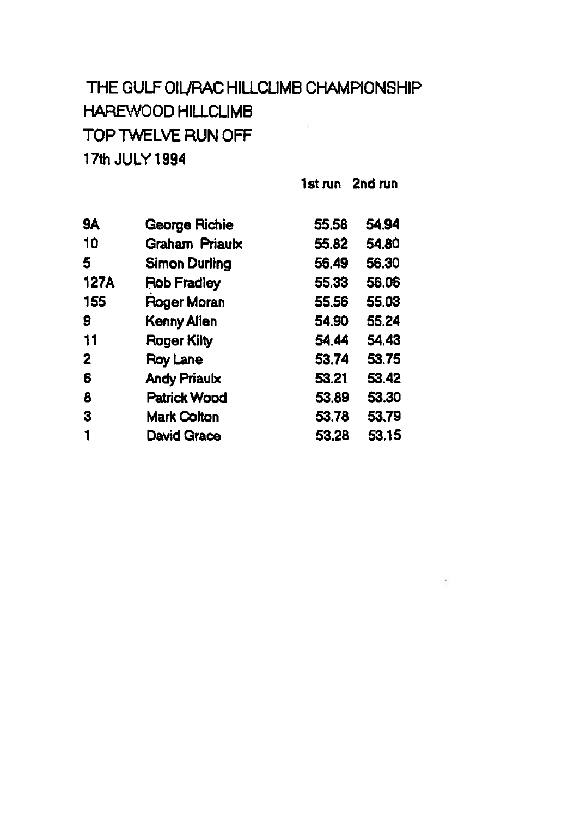# **THE GULF OiyRAC HILLCUMB CHAMPIONSHIP HAFEWOOD HILLCLIMB** TOP TWELVE RUN OFF **17th JULY 1994**

**1st run 2nd run**

**Continued** 

| 9A          | <b>George Richie</b> | 55.58 | 54.94 |
|-------------|----------------------|-------|-------|
| 10          | Graham Priaulx       | 55.82 | 54.80 |
| 5           | <b>Simon Durling</b> | 56,49 | 56.30 |
| <b>127A</b> | Rob Fradley          | 55,33 | 56,06 |
| 155         | Roger Moran          | 55.56 | 55.03 |
| 9           | Kenny Allen          | 54.90 | 55.24 |
| 11          | Roger Kilty          | 54.44 | 54.43 |
| 2           | Roy Lane             | 53.74 | 53.75 |
| 6           | <b>Andy Priaulx</b>  | 53.21 | 53.42 |
| 8           | <b>Patrick Wood</b>  | 53.89 | 53.30 |
| 3           | <b>Mark Colton</b>   | 53.78 | 53.79 |
|             | <b>David Grace</b>   | 53.28 | 53.15 |
|             |                      |       |       |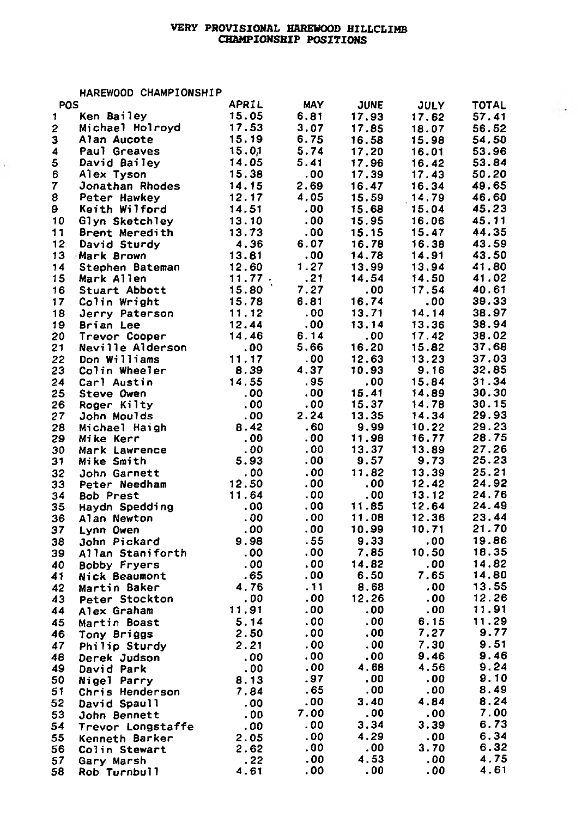## **VERY PROVISIONAL HAREWOOD HILLCLIMB CHAMPIONSHIP** *POSITIONS*

 $\sim$ 

**HAREWOOD CHAMPIONSHIP**

 $\ddot{\phantom{a}}$ 

| POS |                     | APRIL  | MAY  | <b>JUNE</b> | <b>JULY</b> | TOTAL |
|-----|---------------------|--------|------|-------------|-------------|-------|
| 1   | Ken Bailey          | 15.05  | 6.81 | 17.93       | 17.62       | 57.41 |
| 2   | Michael Holroyd     | 17.53  | 3.07 | 17.85       | 18.07       | 56.52 |
| 3   | Alan Aucote         | 15.19  | 6.75 | 16.58       | 15.98       | 54.50 |
| 4   | Paul Greaves        | 15.01  | 5.74 | 17.20       | 16.01       | 53.96 |
| 5   | David Bailey        | 14.05  | 5.41 | 17.96       | 16.42       | 53.84 |
| 6   | Alex Tyson          | 15.38  | .00  | 17.39       | 17.43       | 50.20 |
| 7   | Jonathan Rhodes     | 14.15  | 2.69 | 16.47       | 16.34       | 49.65 |
|     |                     |        |      |             |             |       |
| 8   | Peter Hawkey        | 12.17  | 4.05 | 15.59       | 14.79       | 46.60 |
| 9   | Keith Wilford       | 14.51  | .00  | 15.68       | 15.04       | 45.23 |
| 10  | Glyn Sketchley      | 13.10  | .00  | 15.95       | 16.06       | 45.11 |
| 11  | Brent Meredith      | 13.73  | . 00 | 15.15       | 15.47       | 44.35 |
| 12  | David Sturdy        | 4.36   | 6.07 | 16.78       | 16.38       | 43.59 |
| 13  | Mark Brown          | 13.81  | .00  | 14.78       | 14.91       | 43.50 |
| 14  | Stephen Bateman     | 12.60  | 1.27 | 13.99       | 13.94       | 41.80 |
| 15  | Mark Allen          | 11.77. | .21  | 14.54       | 14.50       | 41.02 |
| 16  | Stuart Abbott       | 15.80  | 7.27 | .00         | 17.54       | 40.61 |
| 17  | Colin Wright        | 15.78  | 6.81 | 16.74       | .00         | 39.33 |
| 18  | Jerry Paterson      | 11.12  | .00  | 13.71       | 14.14       | 38.97 |
|     |                     |        | . 00 |             |             | 38.94 |
| 19  | Brian Lee           | 12.44  |      | 13.14       | 13.36       |       |
| 20  | Trevor Cooper       | 14.46  | 6.14 | .00         | 17.42       | 38.02 |
| 21  | Neville Alderson    | .00    | 5,66 | 16.20       | 15.82       | 37.68 |
| 22  | Don Williams        | 11.17  | .00  | 12.63       | 13.23       | 37.03 |
| 23  | Colin Wheeler       | 8.39   | 4.37 | 10.93       | 9.16        | 32.85 |
| 24  | Carl Austin         | 14.55  | . 95 | .00         | 15.84       | 31.34 |
| 25  | Steve Owen          | .00    | . 00 | 15.41       | 14.89       | 30.30 |
| 26  | Roger Kilty         | .00    | .00  | 15.37       | 14.78       | 30.15 |
| 27  | John Moulds         | .00    | 2.24 | 13.35       | 14.34       | 29.93 |
| 28  | Michael Haigh       | 8.42   | .60  | 9.99        | 10.22       | 29.23 |
| 29  | Mike Kerr           | .00    | .00  | 11.98       | 16.77       | 28.75 |
| 30  | Mark Lawrence       | .00    | . 00 | 13.37       | 13.89       | 27.26 |
| 31  | Mike Smith          | 5.93   | . 00 | 9.57        | 9.73        | 25.23 |
|     |                     | .00    | .00  | 11.82       | 13.39       | 25.21 |
| 32  | John Garnett        |        | . 00 | .00         | 12.42       | 24.92 |
| 33  | Peter Needham       | 12.50  |      |             |             | 24.76 |
| 34  | <b>Bob Prest</b>    | 11.64  | .00  | .00         | 13.12       |       |
| 35  | Haydn Spedding      | .00    | . 00 | 11.85       | 12.64       | 24.49 |
| 36  | Alan Newton         | .00    | .00  | 11.08       | 12.36       | 23.44 |
| 37  | Lynn Owen           | .00    | . 00 | 10.99       | 10.71       | 21.70 |
| 38  | John Pickard        | 9.98   | .55  | 9.33        | .00         | 19.86 |
| 39  | Allan Staniforth    | .00    | .00  | 7.85        | 10.50       | 18.35 |
| 40  | <b>Bobby Fryers</b> | .00    | .00  | 14.82       | .00         | 14.82 |
| 41  | Nick Beaumont       | .65    | .00  | 6.50        | 7.65        | 14.80 |
| 42  | Martin Baker        | 4.76   | - 11 | 8.68        | .00         | 13.55 |
| 43  | Peter Stockton      | .00    | .00  | 12.26       | .00         | 12.26 |
| 44  | Alex Graham         | 11.91  | .00  | .00         | .00         | 11.91 |
|     |                     | 5.14   | .00  | .00         | 6.15        | 11.29 |
| 45  | Martin Boast        |        | .00  | .00         | 7.27        | 9.77  |
| 46  | Tony Briggs         | 2.50   |      |             |             |       |
| 47  | Philip Sturdy       | 2.21   | .00  | .00         | 7.30        | 9.51  |
| 48  | Derek Judson        | .00    | .00  | .00         | 9.46        | 9.46  |
| 49  | David Park          | .00    | .00  | 4.68        | 4.56        | 9,24  |
| 50  | Nigel Parry         | 8.13   | .97  | .00         | .00         | 9.10  |
| 51  | Chris Henderson     | 7.84   | .65  | .00         | .00         | 8.49  |
| 52  | David Spaull        | .00    | .00  | 3.40        | 4.84        | 8.24  |
| 53  | John Bennett        | .00    | 7.00 | .00         | .00         | 7.00  |
| 54  | Trevor Longstaffe   | .00    | .00  | 3.34        | 3.39        | 6.73  |
| 55  |                     | 2.05   | .00  | 4.29        | .00         | 6.34  |
|     | Kenneth Barker      | 2.62   | .00  | .00         | 3.70        | 6.32  |
| 56  | Colin Stewart       | .22    | .00  | 4.53        | .00         | 4.75  |
| 57  | Gary Marsh          |        |      |             |             | 4.61  |
| 58  | Rob Turnbull        | 4.61   | .00  | .00         | . 00        |       |